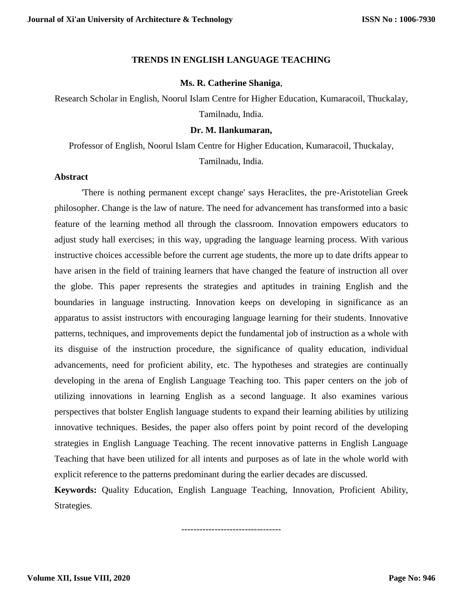## **TRENDS IN ENGLISH LANGUAGE TEACHING**

## **Ms. R. Catherine Shaniga**,

Research Scholar in English, Noorul Islam Centre for Higher Education, Kumaracoil, Thuckalay, Tamilnadu, India.

## **Dr. M. Ilankumaran,**

Professor of English, Noorul Islam Centre for Higher Education, Kumaracoil, Thuckalay, Tamilnadu, India.

## **Abstract**

'There is nothing permanent except change' says Heraclites, the pre-Aristotelian Greek philosopher. Change is the law of nature. The need for advancement has transformed into a basic feature of the learning method all through the classroom. Innovation empowers educators to adjust study hall exercises; in this way, upgrading the language learning process. With various instructive choices accessible before the current age students, the more up to date drifts appear to have arisen in the field of training learners that have changed the feature of instruction all over the globe. This paper represents the strategies and aptitudes in training English and the boundaries in language instructing. Innovation keeps on developing in significance as an apparatus to assist instructors with encouraging language learning for their students. Innovative patterns, techniques, and improvements depict the fundamental job of instruction as a whole with its disguise of the instruction procedure, the significance of quality education, individual advancements, need for proficient ability, etc. The hypotheses and strategies are continually developing in the arena of English Language Teaching too. This paper centers on the job of utilizing innovations in learning English as a second language. It also examines various perspectives that bolster English language students to expand their learning abilities by utilizing innovative techniques. Besides, the paper also offers point by point record of the developing strategies in English Language Teaching. The recent innovative patterns in English Language Teaching that have been utilized for all intents and purposes as of late in the whole world with explicit reference to the patterns predominant during the earlier decades are discussed.

**Keywords:** Quality Education, English Language Teaching, Innovation, Proficient Ability, Strategies.

---------------------------------

**Volume XII, Issue VIII, 2020**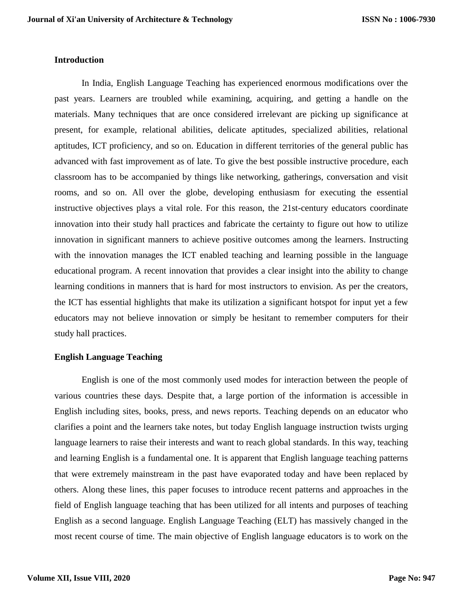## **Introduction**

In India, English Language Teaching has experienced enormous modifications over the past years. Learners are troubled while examining, acquiring, and getting a handle on the materials. Many techniques that are once considered irrelevant are picking up significance at present, for example, relational abilities, delicate aptitudes, specialized abilities, relational aptitudes, ICT proficiency, and so on. Education in different territories of the general public has advanced with fast improvement as of late. To give the best possible instructive procedure, each classroom has to be accompanied by things like networking, gatherings, conversation and visit rooms, and so on. All over the globe, developing enthusiasm for executing the essential instructive objectives plays a vital role. For this reason, the 21st-century educators coordinate innovation into their study hall practices and fabricate the certainty to figure out how to utilize innovation in significant manners to achieve positive outcomes among the learners. Instructing with the innovation manages the ICT enabled teaching and learning possible in the language educational program. A recent innovation that provides a clear insight into the ability to change learning conditions in manners that is hard for most instructors to envision. As per the creators, the ICT has essential highlights that make its utilization a significant hotspot for input yet a few educators may not believe innovation or simply be hesitant to remember computers for their study hall practices.

## **English Language Teaching**

English is one of the most commonly used modes for interaction between the people of various countries these days. Despite that, a large portion of the information is accessible in English including sites, books, press, and news reports. Teaching depends on an educator who clarifies a point and the learners take notes, but today English language instruction twists urging language learners to raise their interests and want to reach global standards. In this way, teaching and learning English is a fundamental one. It is apparent that English language teaching patterns that were extremely mainstream in the past have evaporated today and have been replaced by others. Along these lines, this paper focuses to introduce recent patterns and approaches in the field of English language teaching that has been utilized for all intents and purposes of teaching English as a second language. English Language Teaching (ELT) has massively changed in the most recent course of time. The main objective of English language educators is to work on the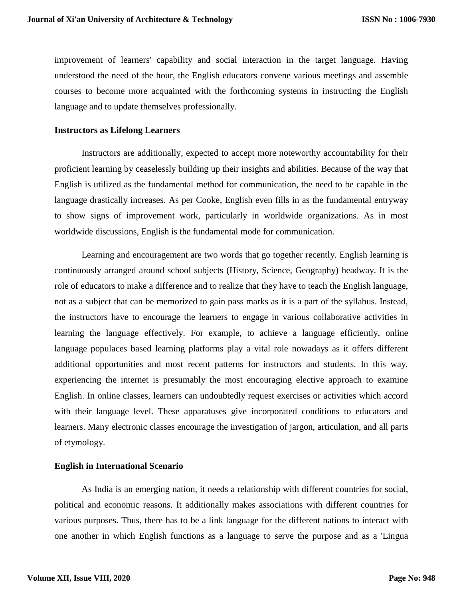improvement of learners' capability and social interaction in the target language. Having understood the need of the hour, the English educators convene various meetings and assemble courses to become more acquainted with the forthcoming systems in instructing the English language and to update themselves professionally.

## **Instructors as Lifelong Learners**

Instructors are additionally, expected to accept more noteworthy accountability for their proficient learning by ceaselessly building up their insights and abilities. Because of the way that English is utilized as the fundamental method for communication, the need to be capable in the language drastically increases. As per Cooke, English even fills in as the fundamental entryway to show signs of improvement work, particularly in worldwide organizations. As in most worldwide discussions, English is the fundamental mode for communication.

Learning and encouragement are two words that go together recently. English learning is continuously arranged around school subjects (History, Science, Geography) headway. It is the role of educators to make a difference and to realize that they have to teach the English language, not as a subject that can be memorized to gain pass marks as it is a part of the syllabus. Instead, the instructors have to encourage the learners to engage in various collaborative activities in learning the language effectively. For example, to achieve a language efficiently, online language populaces based learning platforms play a vital role nowadays as it offers different additional opportunities and most recent patterns for instructors and students. In this way, experiencing the internet is presumably the most encouraging elective approach to examine English. In online classes, learners can undoubtedly request exercises or activities which accord with their language level. These apparatuses give incorporated conditions to educators and learners. Many electronic classes encourage the investigation of jargon, articulation, and all parts of etymology.

## **English in International Scenario**

As India is an emerging nation, it needs a relationship with different countries for social, political and economic reasons. It additionally makes associations with different countries for various purposes. Thus, there has to be a link language for the different nations to interact with one another in which English functions as a language to serve the purpose and as a 'Lingua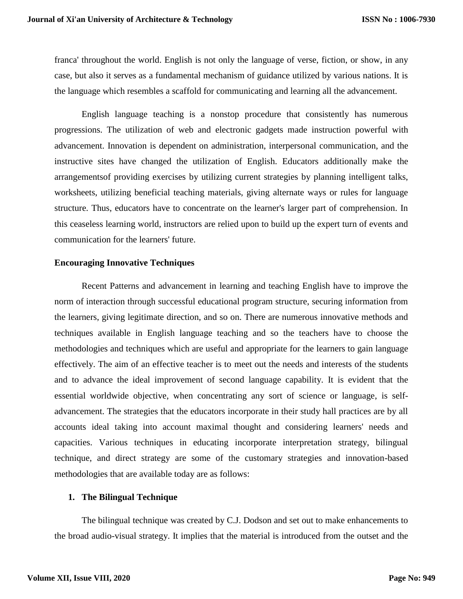franca' throughout the world. English is not only the language of verse, fiction, or show, in any case, but also it serves as a fundamental mechanism of guidance utilized by various nations. It is the language which resembles a scaffold for communicating and learning all the advancement.

English language teaching is a nonstop procedure that consistently has numerous progressions. The utilization of web and electronic gadgets made instruction powerful with advancement. Innovation is dependent on administration, interpersonal communication, and the instructive sites have changed the utilization of English. Educators additionally make the arrangementsof providing exercises by utilizing current strategies by planning intelligent talks, worksheets, utilizing beneficial teaching materials, giving alternate ways or rules for language structure. Thus, educators have to concentrate on the learner's larger part of comprehension. In this ceaseless learning world, instructors are relied upon to build up the expert turn of events and communication for the learners' future.

## **Encouraging Innovative Techniques**

Recent Patterns and advancement in learning and teaching English have to improve the norm of interaction through successful educational program structure, securing information from the learners, giving legitimate direction, and so on. There are numerous innovative methods and techniques available in English language teaching and so the teachers have to choose the methodologies and techniques which are useful and appropriate for the learners to gain language effectively. The aim of an effective teacher is to meet out the needs and interests of the students and to advance the ideal improvement of second language capability. It is evident that the essential worldwide objective, when concentrating any sort of science or language, is selfadvancement. The strategies that the educators incorporate in their study hall practices are by all accounts ideal taking into account maximal thought and considering learners' needs and capacities. Various techniques in educating incorporate interpretation strategy, bilingual technique, and direct strategy are some of the customary strategies and innovation-based methodologies that are available today are as follows:

## **1. The Bilingual Technique**

The bilingual technique was created by C.J. Dodson and set out to make enhancements to the broad audio-visual strategy. It implies that the material is introduced from the outset and the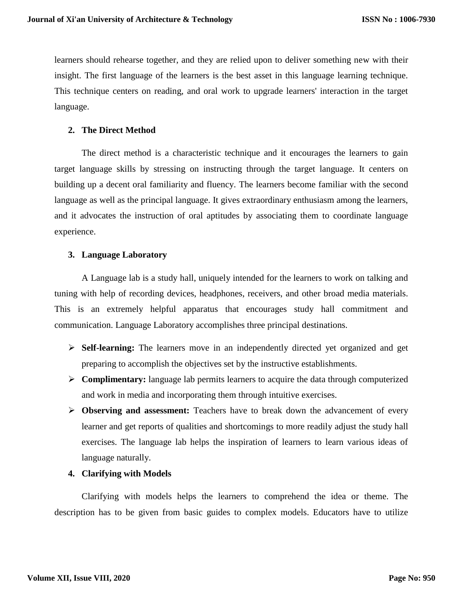learners should rehearse together, and they are relied upon to deliver something new with their insight. The first language of the learners is the best asset in this language learning technique. This technique centers on reading, and oral work to upgrade learners' interaction in the target language.

# **2. The Direct Method**

The direct method is a characteristic technique and it encourages the learners to gain target language skills by stressing on instructing through the target language. It centers on building up a decent oral familiarity and fluency. The learners become familiar with the second language as well as the principal language. It gives extraordinary enthusiasm among the learners, and it advocates the instruction of oral aptitudes by associating them to coordinate language experience.

# **3. Language Laboratory**

A Language lab is a study hall, uniquely intended for the learners to work on talking and tuning with help of recording devices, headphones, receivers, and other broad media materials. This is an extremely helpful apparatus that encourages study hall commitment and communication. Language Laboratory accomplishes three principal destinations.

- **Self-learning:** The learners move in an independently directed yet organized and get preparing to accomplish the objectives set by the instructive establishments.
- **Complimentary:** language lab permits learners to acquire the data through computerized and work in media and incorporating them through intuitive exercises.
- **Observing and assessment:** Teachers have to break down the advancement of every learner and get reports of qualities and shortcomings to more readily adjust the study hall exercises. The language lab helps the inspiration of learners to learn various ideas of language naturally.

# **4. Clarifying with Models**

Clarifying with models helps the learners to comprehend the idea or theme. The description has to be given from basic guides to complex models. Educators have to utilize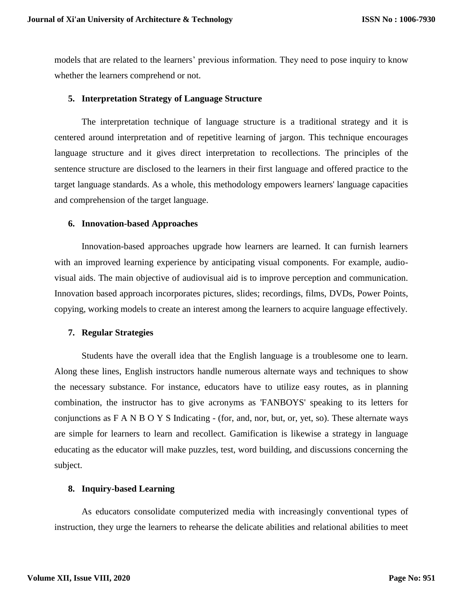models that are related to the learners' previous information. They need to pose inquiry to know whether the learners comprehend or not.

## **5. Interpretation Strategy of Language Structure**

The interpretation technique of language structure is a traditional strategy and it is centered around interpretation and of repetitive learning of jargon. This technique encourages language structure and it gives direct interpretation to recollections. The principles of the sentence structure are disclosed to the learners in their first language and offered practice to the target language standards. As a whole, this methodology empowers learners' language capacities and comprehension of the target language.

## **6. Innovation-based Approaches**

Innovation-based approaches upgrade how learners are learned. It can furnish learners with an improved learning experience by anticipating visual components. For example, audiovisual aids. The main objective of audiovisual aid is to improve perception and communication. Innovation based approach incorporates pictures, slides; recordings, films, DVDs, Power Points, copying, working models to create an interest among the learners to acquire language effectively.

## **7. Regular Strategies**

Students have the overall idea that the English language is a troublesome one to learn. Along these lines, English instructors handle numerous alternate ways and techniques to show the necessary substance. For instance, educators have to utilize easy routes, as in planning combination, the instructor has to give acronyms as 'FANBOYS' speaking to its letters for conjunctions as  $F A N B O Y S$  Indicating - (for, and, nor, but, or, yet, so). These alternate ways are simple for learners to learn and recollect. Gamification is likewise a strategy in language educating as the educator will make puzzles, test, word building, and discussions concerning the subject.

## **8. Inquiry-based Learning**

As educators consolidate computerized media with increasingly conventional types of instruction, they urge the learners to rehearse the delicate abilities and relational abilities to meet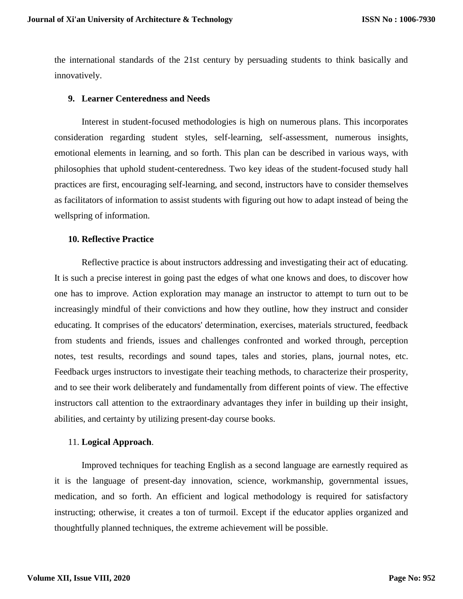the international standards of the 21st century by persuading students to think basically and innovatively.

### **9. Learner Centeredness and Needs**

Interest in student-focused methodologies is high on numerous plans. This incorporates consideration regarding student styles, self-learning, self-assessment, numerous insights, emotional elements in learning, and so forth. This plan can be described in various ways, with philosophies that uphold student-centeredness. Two key ideas of the student-focused study hall practices are first, encouraging self-learning, and second, instructors have to consider themselves as facilitators of information to assist students with figuring out how to adapt instead of being the wellspring of information.

### **10. Reflective Practice**

Reflective practice is about instructors addressing and investigating their act of educating. It is such a precise interest in going past the edges of what one knows and does, to discover how one has to improve. Action exploration may manage an instructor to attempt to turn out to be increasingly mindful of their convictions and how they outline, how they instruct and consider educating. It comprises of the educators' determination, exercises, materials structured, feedback from students and friends, issues and challenges confronted and worked through, perception notes, test results, recordings and sound tapes, tales and stories, plans, journal notes, etc. Feedback urges instructors to investigate their teaching methods, to characterize their prosperity, and to see their work deliberately and fundamentally from different points of view. The effective instructors call attention to the extraordinary advantages they infer in building up their insight, abilities, and certainty by utilizing present-day course books.

#### 11. **Logical Approach**.

Improved techniques for teaching English as a second language are earnestly required as it is the language of present-day innovation, science, workmanship, governmental issues, medication, and so forth. An efficient and logical methodology is required for satisfactory instructing; otherwise, it creates a ton of turmoil. Except if the educator applies organized and thoughtfully planned techniques, the extreme achievement will be possible.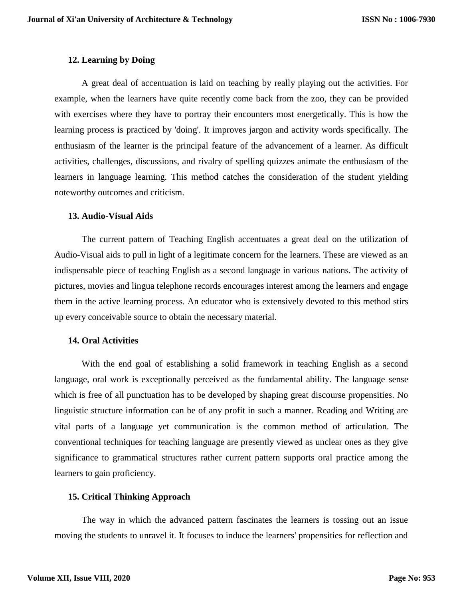# **12. Learning by Doing**

A great deal of accentuation is laid on teaching by really playing out the activities. For example, when the learners have quite recently come back from the zoo, they can be provided with exercises where they have to portray their encounters most energetically. This is how the learning process is practiced by 'doing'. It improves jargon and activity words specifically. The enthusiasm of the learner is the principal feature of the advancement of a learner. As difficult activities, challenges, discussions, and rivalry of spelling quizzes animate the enthusiasm of the learners in language learning. This method catches the consideration of the student yielding noteworthy outcomes and criticism.

## **13. Audio-Visual Aids**

The current pattern of Teaching English accentuates a great deal on the utilization of Audio-Visual aids to pull in light of a legitimate concern for the learners. These are viewed as an indispensable piece of teaching English as a second language in various nations. The activity of pictures, movies and lingua telephone records encourages interest among the learners and engage them in the active learning process. An educator who is extensively devoted to this method stirs up every conceivable source to obtain the necessary material.

## **14. Oral Activities**

With the end goal of establishing a solid framework in teaching English as a second language, oral work is exceptionally perceived as the fundamental ability. The language sense which is free of all punctuation has to be developed by shaping great discourse propensities. No linguistic structure information can be of any profit in such a manner. Reading and Writing are vital parts of a language yet communication is the common method of articulation. The conventional techniques for teaching language are presently viewed as unclear ones as they give significance to grammatical structures rather current pattern supports oral practice among the learners to gain proficiency.

## **15. Critical Thinking Approach**

The way in which the advanced pattern fascinates the learners is tossing out an issue moving the students to unravel it. It focuses to induce the learners' propensities for reflection and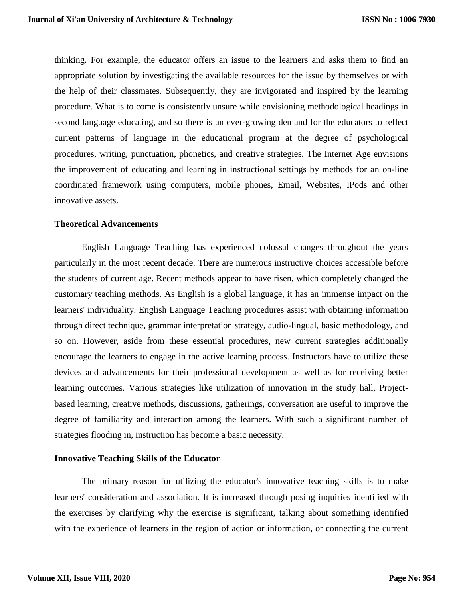thinking. For example, the educator offers an issue to the learners and asks them to find an appropriate solution by investigating the available resources for the issue by themselves or with the help of their classmates. Subsequently, they are invigorated and inspired by the learning procedure. What is to come is consistently unsure while envisioning methodological headings in second language educating, and so there is an ever-growing demand for the educators to reflect current patterns of language in the educational program at the degree of psychological procedures, writing, punctuation, phonetics, and creative strategies. The Internet Age envisions the improvement of educating and learning in instructional settings by methods for an on-line coordinated framework using computers, mobile phones, Email, Websites, IPods and other innovative assets.

### **Theoretical Advancements**

English Language Teaching has experienced colossal changes throughout the years particularly in the most recent decade. There are numerous instructive choices accessible before the students of current age. Recent methods appear to have risen, which completely changed the customary teaching methods. As English is a global language, it has an immense impact on the learners' individuality. English Language Teaching procedures assist with obtaining information through direct technique, grammar interpretation strategy, audio-lingual, basic methodology, and so on. However, aside from these essential procedures, new current strategies additionally encourage the learners to engage in the active learning process. Instructors have to utilize these devices and advancements for their professional development as well as for receiving better learning outcomes. Various strategies like utilization of innovation in the study hall, Projectbased learning, creative methods, discussions, gatherings, conversation are useful to improve the degree of familiarity and interaction among the learners. With such a significant number of strategies flooding in, instruction has become a basic necessity.

### **Innovative Teaching Skills of the Educator**

The primary reason for utilizing the educator's innovative teaching skills is to make learners' consideration and association. It is increased through posing inquiries identified with the exercises by clarifying why the exercise is significant, talking about something identified with the experience of learners in the region of action or information, or connecting the current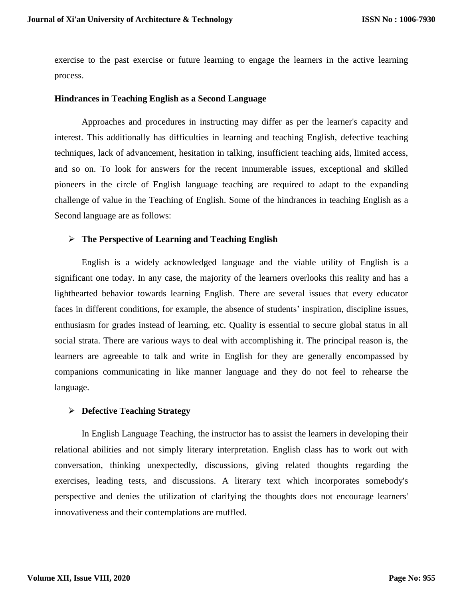exercise to the past exercise or future learning to engage the learners in the active learning process.

### **Hindrances in Teaching English as a Second Language**

Approaches and procedures in instructing may differ as per the learner's capacity and interest. This additionally has difficulties in learning and teaching English, defective teaching techniques, lack of advancement, hesitation in talking, insufficient teaching aids, limited access, and so on. To look for answers for the recent innumerable issues, exceptional and skilled pioneers in the circle of English language teaching are required to adapt to the expanding challenge of value in the Teaching of English. Some of the hindrances in teaching English as a Second language are as follows:

## **The Perspective of Learning and Teaching English**

English is a widely acknowledged language and the viable utility of English is a significant one today. In any case, the majority of the learners overlooks this reality and has a lighthearted behavior towards learning English. There are several issues that every educator faces in different conditions, for example, the absence of students' inspiration, discipline issues, enthusiasm for grades instead of learning, etc. Quality is essential to secure global status in all social strata. There are various ways to deal with accomplishing it. The principal reason is, the learners are agreeable to talk and write in English for they are generally encompassed by companions communicating in like manner language and they do not feel to rehearse the language.

## **Defective Teaching Strategy**

In English Language Teaching, the instructor has to assist the learners in developing their relational abilities and not simply literary interpretation. English class has to work out with conversation, thinking unexpectedly, discussions, giving related thoughts regarding the exercises, leading tests, and discussions. A literary text which incorporates somebody's perspective and denies the utilization of clarifying the thoughts does not encourage learners' innovativeness and their contemplations are muffled.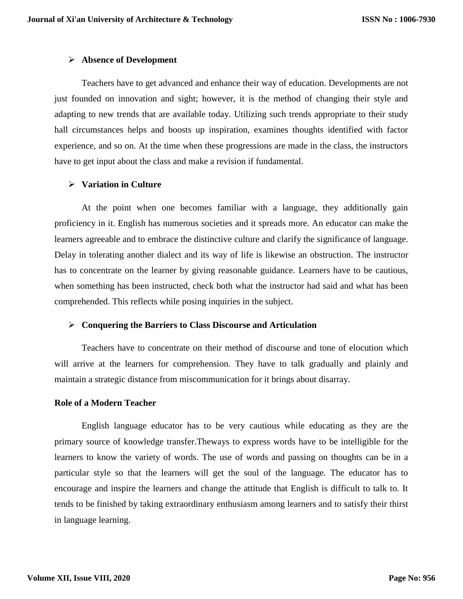## **Absence of Development**

Teachers have to get advanced and enhance their way of education. Developments are not just founded on innovation and sight; however, it is the method of changing their style and adapting to new trends that are available today. Utilizing such trends appropriate to their study hall circumstances helps and boosts up inspiration, examines thoughts identified with factor experience, and so on. At the time when these progressions are made in the class, the instructors have to get input about the class and make a revision if fundamental.

## **Variation in Culture**

At the point when one becomes familiar with a language, they additionally gain proficiency in it. English has numerous societies and it spreads more. An educator can make the learners agreeable and to embrace the distinctive culture and clarify the significance of language. Delay in tolerating another dialect and its way of life is likewise an obstruction. The instructor has to concentrate on the learner by giving reasonable guidance. Learners have to be cautious, when something has been instructed, check both what the instructor had said and what has been comprehended. This reflects while posing inquiries in the subject.

## **Conquering the Barriers to Class Discourse and Articulation**

Teachers have to concentrate on their method of discourse and tone of elocution which will arrive at the learners for comprehension. They have to talk gradually and plainly and maintain a strategic distance from miscommunication for it brings about disarray.

## **Role of a Modern Teacher**

English language educator has to be very cautious while educating as they are the primary source of knowledge transfer.Theways to express words have to be intelligible for the learners to know the variety of words. The use of words and passing on thoughts can be in a particular style so that the learners will get the soul of the language. The educator has to encourage and inspire the learners and change the attitude that English is difficult to talk to. It tends to be finished by taking extraordinary enthusiasm among learners and to satisfy their thirst in language learning.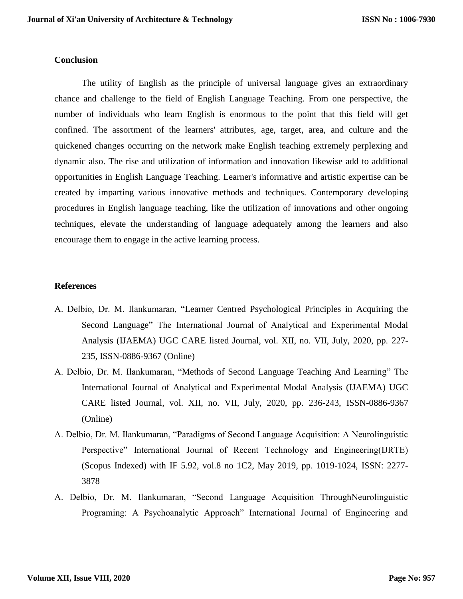## **Conclusion**

The utility of English as the principle of universal language gives an extraordinary chance and challenge to the field of English Language Teaching. From one perspective, the number of individuals who learn English is enormous to the point that this field will get confined. The assortment of the learners' attributes, age, target, area, and culture and the quickened changes occurring on the network make English teaching extremely perplexing and dynamic also. The rise and utilization of information and innovation likewise add to additional opportunities in English Language Teaching. Learner's informative and artistic expertise can be created by imparting various innovative methods and techniques. Contemporary developing procedures in English language teaching, like the utilization of innovations and other ongoing techniques, elevate the understanding of language adequately among the learners and also encourage them to engage in the active learning process.

## **References**

- A. Delbio, Dr. M. Ilankumaran, "Learner Centred Psychological Principles in Acquiring the Second Language" The International Journal of Analytical and Experimental Modal Analysis (IJAEMA) UGC CARE listed Journal, vol. XII, no. VII, July, 2020, pp. 227- 235, ISSN-0886-9367 (Online)
- A. Delbio, Dr. M. Ilankumaran, "Methods of Second Language Teaching And Learning" The International Journal of Analytical and Experimental Modal Analysis (IJAEMA) UGC CARE listed Journal, vol. XII, no. VII, July, 2020, pp. 236-243, ISSN-0886-9367 (Online)
- A. Delbio, Dr. M. Ilankumaran, "Paradigms of Second Language Acquisition: A Neurolinguistic Perspective" International Journal of Recent Technology and Engineering(IJRTE) (Scopus Indexed) with IF 5.92, vol.8 no 1C2, May 2019, pp. 1019-1024, ISSN: 2277- 3878
- A. Delbio, Dr. M. Ilankumaran, "Second Language Acquisition ThroughNeurolinguistic Programing: A Psychoanalytic Approach" International Journal of Engineering and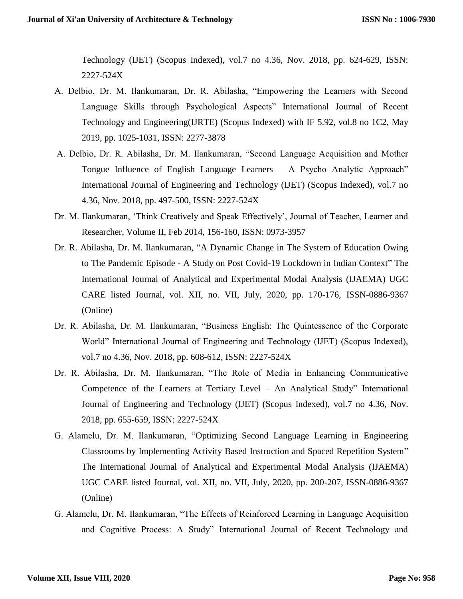Technology (IJET) (Scopus Indexed), vol.7 no 4.36, Nov. 2018, pp. 624-629, ISSN: 2227-524X

- A. Delbio, Dr. M. Ilankumaran, Dr. R. Abilasha, "Empowering the Learners with Second Language Skills through Psychological Aspects" International Journal of Recent Technology and Engineering(IJRTE) (Scopus Indexed) with IF 5.92, vol.8 no 1C2, May 2019, pp. 1025-1031, ISSN: 2277-3878
- A. Delbio, Dr. R. Abilasha, Dr. M. Ilankumaran, "Second Language Acquisition and Mother Tongue Influence of English Language Learners – A Psycho Analytic Approach" International Journal of Engineering and Technology (IJET) (Scopus Indexed), vol.7 no 4.36, Nov. 2018, pp. 497-500, ISSN: 2227-524X
- Dr. M. Ilankumaran, 'Think Creatively and Speak Effectively', Journal of Teacher, Learner and Researcher, Volume II, Feb 2014, 156-160, ISSN: 0973-3957
- Dr. R. Abilasha, Dr. M. Ilankumaran, "A Dynamic Change in The System of Education Owing to The Pandemic Episode - A Study on Post Covid-19 Lockdown in Indian Context" The International Journal of Analytical and Experimental Modal Analysis (IJAEMA) UGC CARE listed Journal, vol. XII, no. VII, July, 2020, pp. 170-176, ISSN-0886-9367 (Online)
- Dr. R. Abilasha, Dr. M. Ilankumaran, "Business English: The Quintessence of the Corporate World" International Journal of Engineering and Technology (IJET) (Scopus Indexed), vol.7 no 4.36, Nov. 2018, pp. 608-612, ISSN: 2227-524X
- Dr. R. Abilasha, Dr. M. Ilankumaran, "The Role of Media in Enhancing Communicative Competence of the Learners at Tertiary Level – An Analytical Study" International Journal of Engineering and Technology (IJET) (Scopus Indexed), vol.7 no 4.36, Nov. 2018, pp. 655-659, ISSN: 2227-524X
- G. Alamelu, Dr. M. Ilankumaran, "Optimizing Second Language Learning in Engineering Classrooms by Implementing Activity Based Instruction and Spaced Repetition System" The International Journal of Analytical and Experimental Modal Analysis (IJAEMA) UGC CARE listed Journal, vol. XII, no. VII, July, 2020, pp. 200-207, ISSN-0886-9367 (Online)
- G. Alamelu, Dr. M. Ilankumaran, "The Effects of Reinforced Learning in Language Acquisition and Cognitive Process: A Study" International Journal of Recent Technology and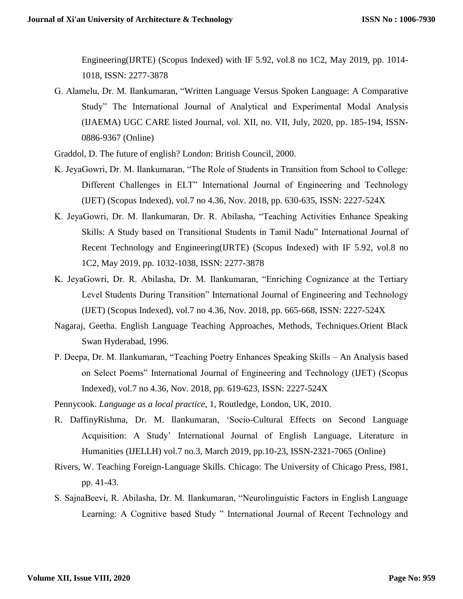Engineering(IJRTE) (Scopus Indexed) with IF 5.92, vol.8 no 1C2, May 2019, pp. 1014- 1018, ISSN: 2277-3878

- G. Alamelu, Dr. M. Ilankumaran, "Written Language Versus Spoken Language: A Comparative Study" The International Journal of Analytical and Experimental Modal Analysis (IJAEMA) UGC CARE listed Journal, vol. XII, no. VII, July, 2020, pp. 185-194, ISSN-0886-9367 (Online)
- Graddol, D. The future of english? London: British Council, 2000.
- K. JeyaGowri, Dr. M. Ilankumaran, "The Role of Students in Transition from School to College: Different Challenges in ELT" International Journal of Engineering and Technology (IJET) (Scopus Indexed), vol.7 no 4.36, Nov. 2018, pp. 630-635, ISSN: 2227-524X
- K. JeyaGowri, Dr. M. Ilankumaran, Dr. R. Abilasha, "Teaching Activities Enhance Speaking Skills: A Study based on Transitional Students in Tamil Nadu" International Journal of Recent Technology and Engineering(IJRTE) (Scopus Indexed) with IF 5.92, vol.8 no 1C2, May 2019, pp. 1032-1038, ISSN: 2277-3878
- K. JeyaGowri, Dr. R. Abilasha, Dr. M. Ilankumaran, "Enriching Cognizance at the Tertiary Level Students During Transition" International Journal of Engineering and Technology (IJET) (Scopus Indexed), vol.7 no 4.36, Nov. 2018, pp. 665-668, ISSN: 2227-524X
- Nagaraj, Geetha. English Language Teaching Approaches, Methods, Techniques.Orient Black Swan Hyderabad, 1996.
- P. Deepa, Dr. M. Ilankumaran, "Teaching Poetry Enhances Speaking Skills An Analysis based on Select Poems" International Journal of Engineering and Technology (IJET) (Scopus Indexed), vol.7 no 4.36, Nov. 2018, pp. 619-623, ISSN: 2227-524X

Pennycook. *Language as a local practice*, 1, Routledge, London, UK, 2010.

- R. DaffinyRishma, Dr. M. Ilankumaran, 'Socio-Cultural Effects on Second Language Acquisition: A Study' International Journal of English Language, Literature in Humanities (IJELLH) vol.7 no.3, March 2019, pp.10-23, ISSN-2321-7065 (Online)
- Rivers, W. Teaching Foreign-Language Skills. Chicago: The University of Chicago Press, I981, pp. 41-43.
- S. SajnaBeevi, R. Abilasha, Dr. M. Ilankumaran, "Neurolinguistic Factors in English Language Learning: A Cognitive based Study " International Journal of Recent Technology and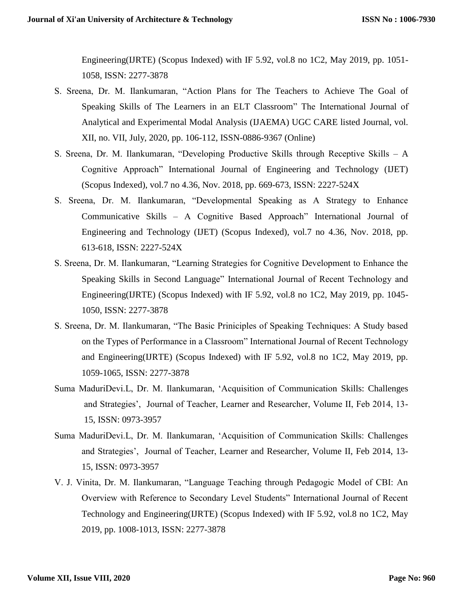Engineering(IJRTE) (Scopus Indexed) with IF 5.92, vol.8 no 1C2, May 2019, pp. 1051- 1058, ISSN: 2277-3878

- S. Sreena, Dr. M. Ilankumaran, "Action Plans for The Teachers to Achieve The Goal of Speaking Skills of The Learners in an ELT Classroom" The International Journal of Analytical and Experimental Modal Analysis (IJAEMA) UGC CARE listed Journal, vol. XII, no. VII, July, 2020, pp. 106-112, ISSN-0886-9367 (Online)
- S. Sreena, Dr. M. Ilankumaran, "Developing Productive Skills through Receptive Skills A Cognitive Approach" International Journal of Engineering and Technology (IJET) (Scopus Indexed), vol.7 no 4.36, Nov. 2018, pp. 669-673, ISSN: 2227-524X
- S. Sreena, Dr. M. Ilankumaran, "Developmental Speaking as A Strategy to Enhance Communicative Skills – A Cognitive Based Approach" International Journal of Engineering and Technology (IJET) (Scopus Indexed), vol.7 no 4.36, Nov. 2018, pp. 613-618, ISSN: 2227-524X
- S. Sreena, Dr. M. Ilankumaran, "Learning Strategies for Cognitive Development to Enhance the Speaking Skills in Second Language" International Journal of Recent Technology and Engineering(IJRTE) (Scopus Indexed) with IF 5.92, vol.8 no 1C2, May 2019, pp. 1045- 1050, ISSN: 2277-3878
- S. Sreena, Dr. M. Ilankumaran, "The Basic Priniciples of Speaking Techniques: A Study based on the Types of Performance in a Classroom" International Journal of Recent Technology and Engineering(IJRTE) (Scopus Indexed) with IF 5.92, vol.8 no 1C2, May 2019, pp. 1059-1065, ISSN: 2277-3878
- Suma MaduriDevi.L, Dr. M. Ilankumaran, 'Acquisition of Communication Skills: Challenges and Strategies', Journal of Teacher, Learner and Researcher, Volume II, Feb 2014, 13- 15, ISSN: 0973-3957
- Suma MaduriDevi.L, Dr. M. Ilankumaran, 'Acquisition of Communication Skills: Challenges and Strategies', Journal of Teacher, Learner and Researcher, Volume II, Feb 2014, 13- 15, ISSN: 0973-3957
- V. J. Vinita, Dr. M. Ilankumaran, "Language Teaching through Pedagogic Model of CBI: An Overview with Reference to Secondary Level Students" International Journal of Recent Technology and Engineering(IJRTE) (Scopus Indexed) with IF 5.92, vol.8 no 1C2, May 2019, pp. 1008-1013, ISSN: 2277-3878